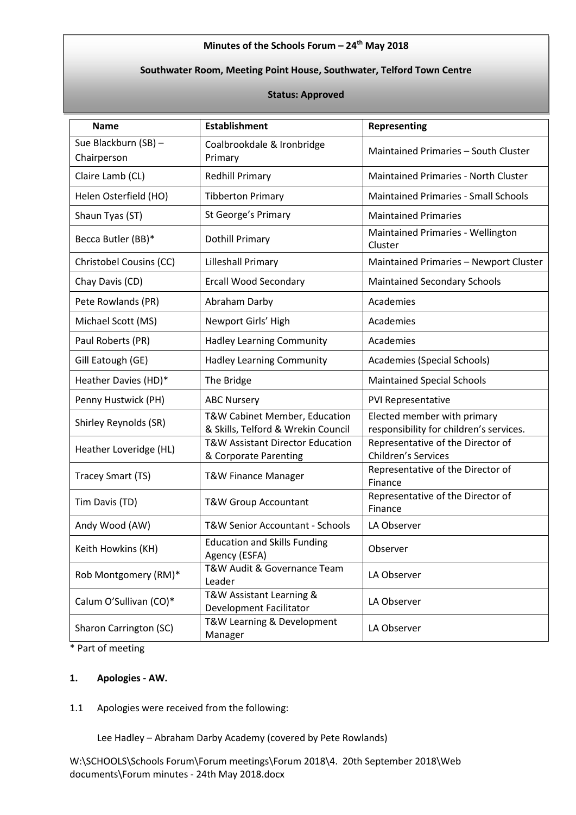#### **Minutes of the Schools Forum – 24th May 2018**

# **Southwater Room, Meeting Point House, Southwater, Telford Town Centre**

#### **Status: Approved**

| <b>Name</b>                         | <b>Establishment</b>                                                | <b>Representing</b>                                                    |
|-------------------------------------|---------------------------------------------------------------------|------------------------------------------------------------------------|
| Sue Blackburn (SB) -<br>Chairperson | Coalbrookdale & Ironbridge<br>Primary                               | Maintained Primaries - South Cluster                                   |
| Claire Lamb (CL)                    | <b>Redhill Primary</b>                                              | <b>Maintained Primaries - North Cluster</b>                            |
| Helen Osterfield (HO)               | <b>Tibberton Primary</b>                                            | <b>Maintained Primaries - Small Schools</b>                            |
| Shaun Tyas (ST)                     | St George's Primary                                                 | <b>Maintained Primaries</b>                                            |
| Becca Butler (BB)*                  | <b>Dothill Primary</b>                                              | Maintained Primaries - Wellington<br>Cluster                           |
| Christobel Cousins (CC)             | <b>Lilleshall Primary</b>                                           | Maintained Primaries - Newport Cluster                                 |
| Chay Davis (CD)                     | <b>Ercall Wood Secondary</b>                                        | <b>Maintained Secondary Schools</b>                                    |
| Pete Rowlands (PR)                  | Abraham Darby                                                       | Academies                                                              |
| Michael Scott (MS)                  | Newport Girls' High                                                 | Academies                                                              |
| Paul Roberts (PR)                   | <b>Hadley Learning Community</b>                                    | Academies                                                              |
| Gill Eatough (GE)                   | <b>Hadley Learning Community</b>                                    | Academies (Special Schools)                                            |
| Heather Davies (HD)*                | The Bridge                                                          | <b>Maintained Special Schools</b>                                      |
| Penny Hustwick (PH)                 | <b>ABC Nursery</b>                                                  | PVI Representative                                                     |
| Shirley Reynolds (SR)               | T&W Cabinet Member, Education<br>& Skills, Telford & Wrekin Council | Elected member with primary<br>responsibility for children's services. |
| Heather Loveridge (HL)              | T&W Assistant Director Education<br>& Corporate Parenting           | Representative of the Director of<br><b>Children's Services</b>        |
| Tracey Smart (TS)                   | <b>T&amp;W Finance Manager</b>                                      | Representative of the Director of<br>Finance                           |
| Tim Davis (TD)                      | <b>T&amp;W Group Accountant</b>                                     | Representative of the Director of<br>Finance                           |
| Andy Wood (AW)                      | T&W Senior Accountant - Schools                                     | LA Observer                                                            |
| Keith Howkins (KH)                  | <b>Education and Skills Funding</b><br>Agency (ESFA)                | Observer                                                               |
| Rob Montgomery (RM)*                | T&W Audit & Governance Team<br>Leader                               | LA Observer                                                            |
| Calum O'Sullivan (CO)*              | T&W Assistant Learning &<br>Development Facilitator                 | LA Observer                                                            |
| Sharon Carrington (SC)              | T&W Learning & Development<br>Manager                               | LA Observer                                                            |

\* Part of meeting

#### **1. Apologies - AW.**

1.1 Apologies were received from the following:

Lee Hadley – Abraham Darby Academy (covered by Pete Rowlands)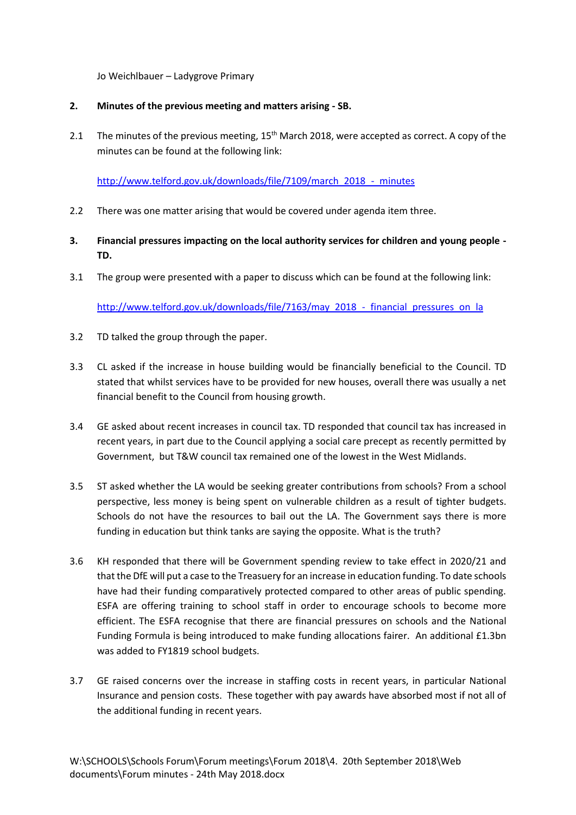#### Jo Weichlbauer – Ladygrove Primary

#### **2. Minutes of the previous meeting and matters arising - SB.**

2.1 The minutes of the previous meeting,  $15<sup>th</sup>$  March 2018, were accepted as correct. A copy of the minutes can be found at the following link:

[http://www.telford.gov.uk/downloads/file/7109/march\\_2018\\_-\\_minutes](http://www.telford.gov.uk/downloads/file/7109/march_2018_-_minutes)

- 2.2 There was one matter arising that would be covered under agenda item three.
- **3. Financial pressures impacting on the local authority services for children and young people - TD.**
- 3.1 The group were presented with a paper to discuss which can be found at the following link:

[http://www.telford.gov.uk/downloads/file/7163/may\\_2018\\_-\\_financial\\_pressures\\_on\\_la](http://www.telford.gov.uk/downloads/file/7163/may_2018_-_financial_pressures_on_la)

- 3.2 TD talked the group through the paper.
- 3.3 CL asked if the increase in house building would be financially beneficial to the Council. TD stated that whilst services have to be provided for new houses, overall there was usually a net financial benefit to the Council from housing growth.
- 3.4 GE asked about recent increases in council tax. TD responded that council tax has increased in recent years, in part due to the Council applying a social care precept as recently permitted by Government, but T&W council tax remained one of the lowest in the West Midlands.
- 3.5 ST asked whether the LA would be seeking greater contributions from schools? From a school perspective, less money is being spent on vulnerable children as a result of tighter budgets. Schools do not have the resources to bail out the LA. The Government says there is more funding in education but think tanks are saying the opposite. What is the truth?
- 3.6 KH responded that there will be Government spending review to take effect in 2020/21 and that the DfE will put a case to the Treasuery for an increase in education funding. To date schools have had their funding comparatively protected compared to other areas of public spending. ESFA are offering training to school staff in order to encourage schools to become more efficient. The ESFA recognise that there are financial pressures on schools and the National Funding Formula is being introduced to make funding allocations fairer. An additional £1.3bn was added to FY1819 school budgets.
- 3.7 GE raised concerns over the increase in staffing costs in recent years, in particular National Insurance and pension costs. These together with pay awards have absorbed most if not all of the additional funding in recent years.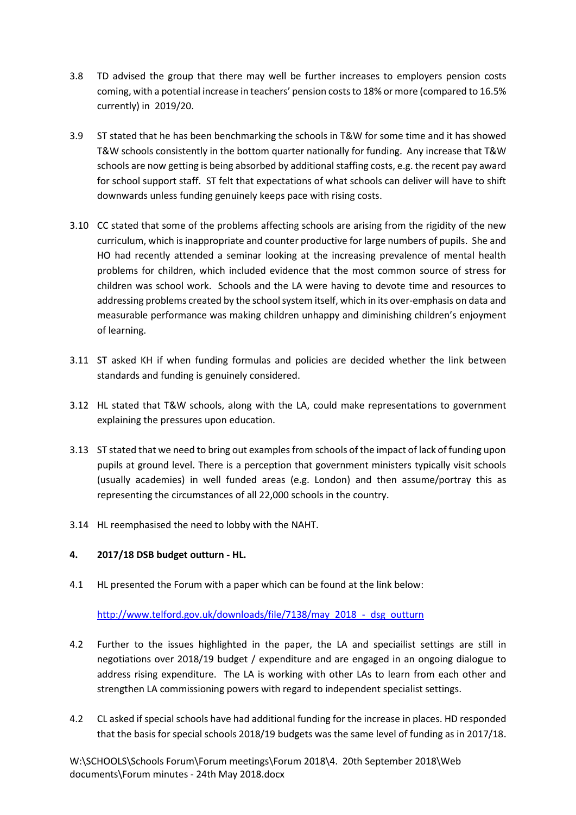- 3.8 TD advised the group that there may well be further increases to employers pension costs coming, with a potential increase in teachers' pension costs to 18% or more (compared to 16.5% currently) in 2019/20.
- 3.9 ST stated that he has been benchmarking the schools in T&W for some time and it has showed T&W schools consistently in the bottom quarter nationally for funding. Any increase that T&W schools are now getting is being absorbed by additional staffing costs, e.g. the recent pay award for school support staff. ST felt that expectations of what schools can deliver will have to shift downwards unless funding genuinely keeps pace with rising costs.
- 3.10 CC stated that some of the problems affecting schools are arising from the rigidity of the new curriculum, which is inappropriate and counter productive for large numbers of pupils. She and HO had recently attended a seminar looking at the increasing prevalence of mental health problems for children, which included evidence that the most common source of stress for children was school work. Schools and the LA were having to devote time and resources to addressing problems created by the school system itself, which in its over-emphasis on data and measurable performance was making children unhappy and diminishing children's enjoyment of learning.
- 3.11 ST asked KH if when funding formulas and policies are decided whether the link between standards and funding is genuinely considered.
- 3.12 HL stated that T&W schools, along with the LA, could make representations to government explaining the pressures upon education.
- 3.13 ST stated that we need to bring out examples from schools of the impact of lack of funding upon pupils at ground level. There is a perception that government ministers typically visit schools (usually academies) in well funded areas (e.g. London) and then assume/portray this as representing the circumstances of all 22,000 schools in the country.
- 3.14 HL reemphasised the need to lobby with the NAHT.

# **4. 2017/18 DSB budget outturn - HL.**

4.1 HL presented the Forum with a paper which can be found at the link below:

# [http://www.telford.gov.uk/downloads/file/7138/may\\_2018\\_-\\_dsg\\_outturn](http://www.telford.gov.uk/downloads/file/7138/may_2018_-_dsg_outturn)

- 4.2 Further to the issues highlighted in the paper, the LA and speciailist settings are still in negotiations over 2018/19 budget / expenditure and are engaged in an ongoing dialogue to address rising expenditure. The LA is working with other LAs to learn from each other and strengthen LA commissioning powers with regard to independent specialist settings.
- 4.2 CL asked if special schools have had additional funding for the increase in places. HD responded that the basis for special schools 2018/19 budgets was the same level of funding as in 2017/18.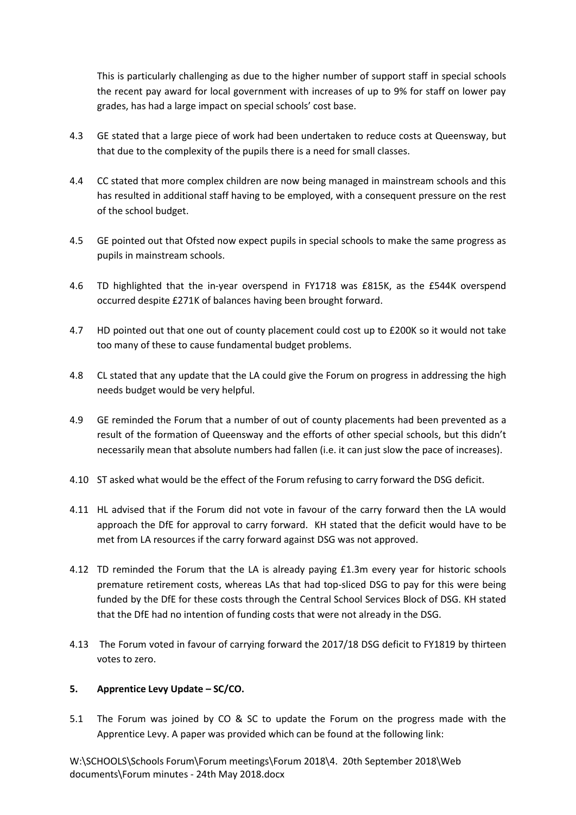This is particularly challenging as due to the higher number of support staff in special schools the recent pay award for local government with increases of up to 9% for staff on lower pay grades, has had a large impact on special schools' cost base.

- 4.3 GE stated that a large piece of work had been undertaken to reduce costs at Queensway, but that due to the complexity of the pupils there is a need for small classes.
- 4.4 CC stated that more complex children are now being managed in mainstream schools and this has resulted in additional staff having to be employed, with a consequent pressure on the rest of the school budget.
- 4.5 GE pointed out that Ofsted now expect pupils in special schools to make the same progress as pupils in mainstream schools.
- 4.6 TD highlighted that the in-year overspend in FY1718 was £815K, as the £544K overspend occurred despite £271K of balances having been brought forward.
- 4.7 HD pointed out that one out of county placement could cost up to £200K so it would not take too many of these to cause fundamental budget problems.
- 4.8 CL stated that any update that the LA could give the Forum on progress in addressing the high needs budget would be very helpful.
- 4.9 GE reminded the Forum that a number of out of county placements had been prevented as a result of the formation of Queensway and the efforts of other special schools, but this didn't necessarily mean that absolute numbers had fallen (i.e. it can just slow the pace of increases).
- 4.10 ST asked what would be the effect of the Forum refusing to carry forward the DSG deficit.
- 4.11 HL advised that if the Forum did not vote in favour of the carry forward then the LA would approach the DfE for approval to carry forward. KH stated that the deficit would have to be met from LA resources if the carry forward against DSG was not approved.
- 4.12 TD reminded the Forum that the LA is already paying £1.3m every year for historic schools premature retirement costs, whereas LAs that had top-sliced DSG to pay for this were being funded by the DfE for these costs through the Central School Services Block of DSG. KH stated that the DfE had no intention of funding costs that were not already in the DSG.
- 4.13 The Forum voted in favour of carrying forward the 2017/18 DSG deficit to FY1819 by thirteen votes to zero.

# **5. Apprentice Levy Update – SC/CO.**

5.1 The Forum was joined by CO & SC to update the Forum on the progress made with the Apprentice Levy. A paper was provided which can be found at the following link: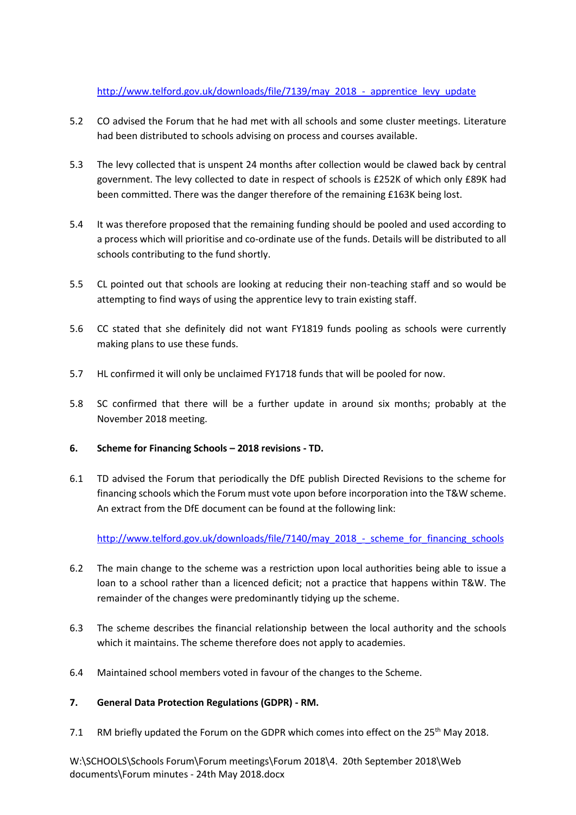# [http://www.telford.gov.uk/downloads/file/7139/may\\_2018\\_-\\_apprentice\\_levy\\_update](http://www.telford.gov.uk/downloads/file/7139/may_2018_-_apprentice_levy_update)

- 5.2 CO advised the Forum that he had met with all schools and some cluster meetings. Literature had been distributed to schools advising on process and courses available.
- 5.3 The levy collected that is unspent 24 months after collection would be clawed back by central government. The levy collected to date in respect of schools is £252K of which only £89K had been committed. There was the danger therefore of the remaining £163K being lost.
- 5.4 It was therefore proposed that the remaining funding should be pooled and used according to a process which will prioritise and co-ordinate use of the funds. Details will be distributed to all schools contributing to the fund shortly.
- 5.5 CL pointed out that schools are looking at reducing their non-teaching staff and so would be attempting to find ways of using the apprentice levy to train existing staff.
- 5.6 CC stated that she definitely did not want FY1819 funds pooling as schools were currently making plans to use these funds.
- 5.7 HL confirmed it will only be unclaimed FY1718 funds that will be pooled for now.
- 5.8 SC confirmed that there will be a further update in around six months; probably at the November 2018 meeting.
- **6. Scheme for Financing Schools – 2018 revisions - TD.**
- 6.1 TD advised the Forum that periodically the DfE publish Directed Revisions to the scheme for financing schools which the Forum must vote upon before incorporation into the T&W scheme. An extract from the DfE document can be found at the following link:

[http://www.telford.gov.uk/downloads/file/7140/may\\_2018\\_-\\_scheme\\_for\\_financing\\_schools](http://www.telford.gov.uk/downloads/file/7140/may_2018_-_scheme_for_financing_schools)

- 6.2 The main change to the scheme was a restriction upon local authorities being able to issue a loan to a school rather than a licenced deficit; not a practice that happens within T&W. The remainder of the changes were predominantly tidying up the scheme.
- 6.3 The scheme describes the financial relationship between the local authority and the schools which it maintains. The scheme therefore does not apply to academies.
- 6.4 Maintained school members voted in favour of the changes to the Scheme.

# **7. General Data Protection Regulations (GDPR) - RM.**

7.1 RM briefly updated the Forum on the GDPR which comes into effect on the  $25<sup>th</sup>$  May 2018.